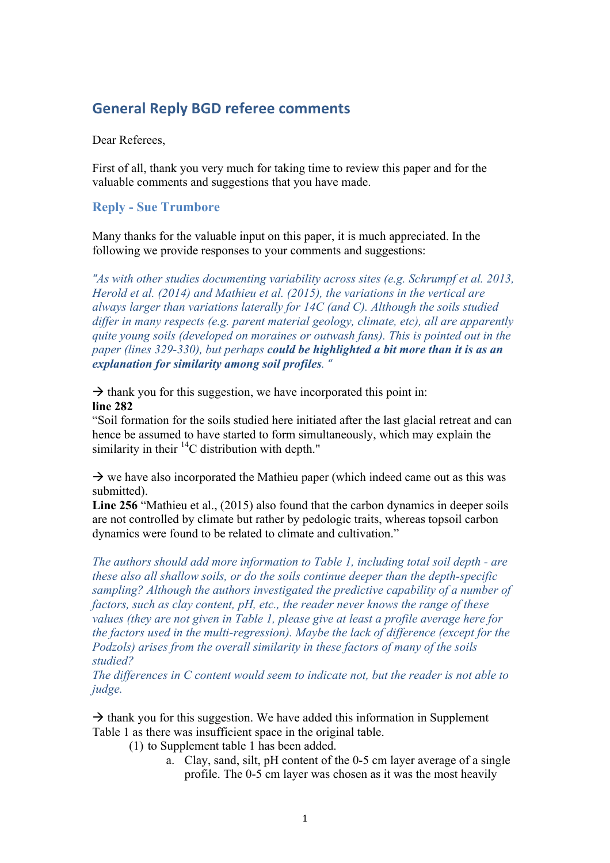# **General Reply BGD referee comments**

Dear Referees,

First of all, thank you very much for taking time to review this paper and for the valuable comments and suggestions that you have made.

## **Reply - Sue Trumbore**

Many thanks for the valuable input on this paper, it is much appreciated. In the following we provide responses to your comments and suggestions:

*"As with other studies documenting variability across sites (e.g. Schrumpf et al. 2013, Herold et al. (2014) and Mathieu et al. (2015), the variations in the vertical are always larger than variations laterally for 14C (and C). Although the soils studied differ in many respects (e.g. parent material geology, climate, etc), all are apparently quite young soils (developed on moraines or outwash fans). This is pointed out in the paper (lines 329-330), but perhaps could be highlighted a bit more than it is as an explanation for similarity among soil profiles. "* 

 $\rightarrow$  thank you for this suggestion, we have incorporated this point in: **line 282**

"Soil formation for the soils studied here initiated after the last glacial retreat and can hence be assumed to have started to form simultaneously, which may explain the similarity in their  ${}^{14}C$  distribution with depth."

 $\rightarrow$  we have also incorporated the Mathieu paper (which indeed came out as this was submitted).

**Line 256** "Mathieu et al., (2015) also found that the carbon dynamics in deeper soils are not controlled by climate but rather by pedologic traits, whereas topsoil carbon dynamics were found to be related to climate and cultivation."

*The authors should add more information to Table 1, including total soil depth - are these also all shallow soils, or do the soils continue deeper than the depth-specific sampling? Although the authors investigated the predictive capability of a number of factors, such as clay content, pH, etc., the reader never knows the range of these values (they are not given in Table 1, please give at least a profile average here for the factors used in the multi-regression). Maybe the lack of difference (except for the Podzols) arises from the overall similarity in these factors of many of the soils studied?*

*The differences in C content would seem to indicate not, but the reader is not able to judge.*

 $\rightarrow$  thank you for this suggestion. We have added this information in Supplement Table 1 as there was insufficient space in the original table.

- (1) to Supplement table 1 has been added.
	- a. Clay, sand, silt, pH content of the 0-5 cm layer average of a single profile. The 0-5 cm layer was chosen as it was the most heavily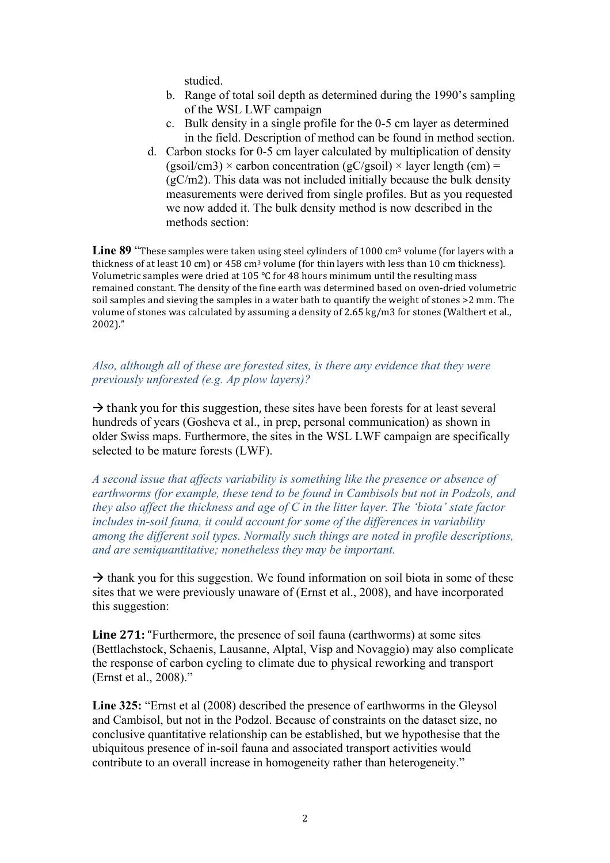studied.

- b. Range of total soil depth as determined during the 1990's sampling of the WSL LWF campaign
- c. Bulk density in a single profile for the 0-5 cm layer as determined in the field. Description of method can be found in method section.
- d. Carbon stocks for 0-5 cm layer calculated by multiplication of density  $(gsoil/cm3) \times carbon concentration (gC/gsoil) \times layer length (cm) =$  $(gC/m2)$ . This data was not included initially because the bulk density measurements were derived from single profiles. But as you requested we now added it. The bulk density method is now described in the methods section:

Line 89 "These samples were taken using steel cylinders of 1000 cm<sup>3</sup> volume (for layers with a thickness of at least  $10 \text{ cm}$ ) or  $458 \text{ cm}^3$  volume (for thin layers with less than  $10 \text{ cm}$  thickness). Volumetric samples were dried at 105  $^{\circ}$ C for 48 hours minimum until the resulting mass remained constant. The density of the fine earth was determined based on oven-dried volumetric soil samples and sieving the samples in a water bath to quantify the weight of stones >2 mm. The volume of stones was calculated by assuming a density of 2.65 kg/m3 for stones (Walthert et al., 2002)."

# *Also, although all of these are forested sites, is there any evidence that they were previously unforested (e.g. Ap plow layers)?*

 $\rightarrow$  thank you for this suggestion, these sites have been forests for at least several hundreds of years (Gosheva et al., in prep, personal communication) as shown in older Swiss maps. Furthermore, the sites in the WSL LWF campaign are specifically selected to be mature forests (LWF).

*A second issue that affects variability is something like the presence or absence of earthworms (for example, these tend to be found in Cambisols but not in Podzols, and they also affect the thickness and age of C in the litter layer. The 'biota' state factor includes in-soil fauna, it could account for some of the differences in variability among the different soil types. Normally such things are noted in profile descriptions, and are semiquantitative; nonetheless they may be important.* 

 $\rightarrow$  thank you for this suggestion. We found information on soil biota in some of these sites that we were previously unaware of (Ernst et al., 2008), and have incorporated this suggestion:

**Line 271:** "Furthermore, the presence of soil fauna (earthworms) at some sites (Bettlachstock, Schaenis, Lausanne, Alptal, Visp and Novaggio) may also complicate the response of carbon cycling to climate due to physical reworking and transport (Ernst et al., 2008)."

**Line 325:** "Ernst et al (2008) described the presence of earthworms in the Gleysol and Cambisol, but not in the Podzol. Because of constraints on the dataset size, no conclusive quantitative relationship can be established, but we hypothesise that the ubiquitous presence of in-soil fauna and associated transport activities would contribute to an overall increase in homogeneity rather than heterogeneity."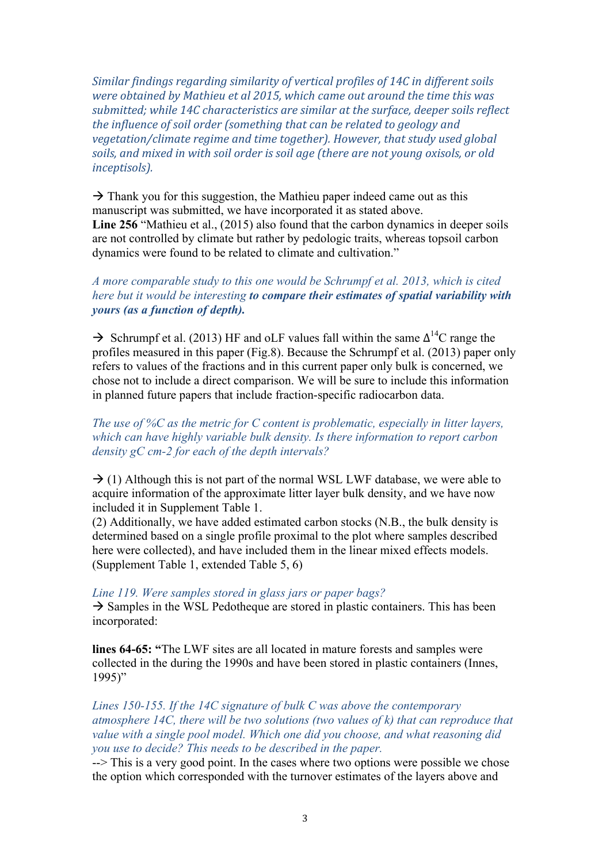*Similar findings regarding similarity of vertical profiles of 14C in different soils were obtained by Mathieu et al 2015, which came out around the time this was* submitted; while 14C characteristics are similar at the surface, deeper soils reflect *the influence of soil order (something that can be related to geology and vegetation/climate regime and time together). However, that study used global* soils, and mixed in with soil order is soil age (there are not young oxisols, or old *inceptisols*).

 $\rightarrow$  Thank you for this suggestion, the Mathieu paper indeed came out as this manuscript was submitted, we have incorporated it as stated above. **Line 256** "Mathieu et al., (2015) also found that the carbon dynamics in deeper soils are not controlled by climate but rather by pedologic traits, whereas topsoil carbon dynamics were found to be related to climate and cultivation."

# *A more comparable study to this one would be Schrumpf et al. 2013, which is cited here but it would be interesting to compare their estimates of spatial variability with yours (as a function of depth).*

 $\rightarrow$  Schrumpf et al. (2013) HF and oLF values fall within the same  $\Delta^{14}$ C range the profiles measured in this paper (Fig.8). Because the Schrumpf et al. (2013) paper only refers to values of the fractions and in this current paper only bulk is concerned, we chose not to include a direct comparison. We will be sure to include this information in planned future papers that include fraction-specific radiocarbon data.

*The use of %C as the metric for C content is problematic, especially in litter layers, which can have highly variable bulk density. Is there information to report carbon density gC cm-2 for each of the depth intervals?*

 $\rightarrow$  (1) Although this is not part of the normal WSL LWF database, we were able to acquire information of the approximate litter layer bulk density, and we have now included it in Supplement Table 1.

(2) Additionally, we have added estimated carbon stocks (N.B., the bulk density is determined based on a single profile proximal to the plot where samples described here were collected), and have included them in the linear mixed effects models. (Supplement Table 1, extended Table 5, 6)

### *Line 119. Were samples stored in glass jars or paper bags?*

 $\rightarrow$  Samples in the WSL Pedotheque are stored in plastic containers. This has been incorporated:

**lines 64-65: "**The LWF sites are all located in mature forests and samples were collected in the during the 1990s and have been stored in plastic containers (Innes, 1995)"

*Lines 150-155. If the 14C signature of bulk C was above the contemporary atmosphere 14C, there will be two solutions (two values of k) that can reproduce that value with a single pool model. Which one did you choose, and what reasoning did you use to decide? This needs to be described in the paper.* 

--> This is a very good point. In the cases where two options were possible we chose the option which corresponded with the turnover estimates of the layers above and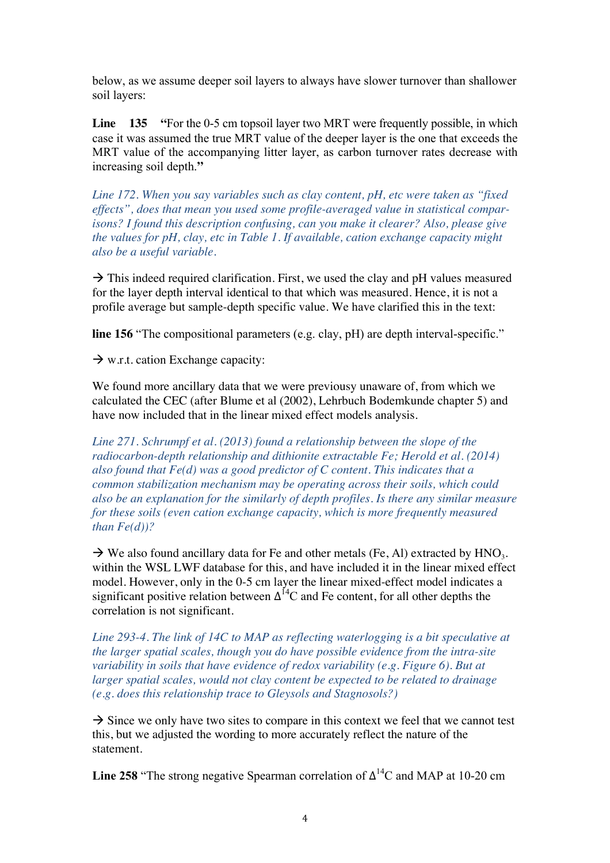below, as we assume deeper soil layers to always have slower turnover than shallower soil layers:

**Line** 135 "For the 0-5 cm topsoil layer two MRT were frequently possible, in which case it was assumed the true MRT value of the deeper layer is the one that exceeds the MRT value of the accompanying litter layer, as carbon turnover rates decrease with increasing soil depth.**"**

*Line 172. When you say variables such as clay content, pH, etc were taken as "fixed effects", does that mean you used some profile-averaged value in statistical comparisons? I found this description confusing, can you make it clearer? Also, please give the values for pH, clay, etc in Table 1. If available, cation exchange capacity might also be a useful variable.* 

 $\rightarrow$  This indeed required clarification. First, we used the clay and pH values measured for the layer depth interval identical to that which was measured. Hence, it is not a profile average but sample-depth specific value. We have clarified this in the text:

**line 156** "The compositional parameters (e.g. clay, pH) are depth interval-specific."

 $\rightarrow$  w.r.t. cation Exchange capacity:

We found more ancillary data that we were previousy unaware of, from which we calculated the CEC (after Blume et al (2002), Lehrbuch Bodemkunde chapter 5) and have now included that in the linear mixed effect models analysis.

*Line 271. Schrumpf et al. (2013) found a relationship between the slope of the radiocarbon-depth relationship and dithionite extractable Fe; Herold et al. (2014) also found that Fe(d) was a good predictor of C content. This indicates that a common stabilization mechanism may be operating across their soils, which could also be an explanation for the similarly of depth profiles. Is there any similar measure for these soils (even cation exchange capacity, which is more frequently measured than Fe(d))?* 

 $\rightarrow$  We also found ancillary data for Fe and other metals (Fe, Al) extracted by HNO<sub>3</sub>. within the WSL LWF database for this, and have included it in the linear mixed effect model. However, only in the 0-5 cm layer the linear mixed-effect model indicates a significant positive relation between  $\Delta^{14}$ C and Fe content, for all other depths the correlation is not significant.

*Line 293-4. The link of 14C to MAP as reflecting waterlogging is a bit speculative at the larger spatial scales, though you do have possible evidence from the intra-site variability in soils that have evidence of redox variability (e.g. Figure 6). But at larger spatial scales, would not clay content be expected to be related to drainage (e.g. does this relationship trace to Gleysols and Stagnosols?)* 

 $\rightarrow$  Since we only have two sites to compare in this context we feel that we cannot test this, but we adjusted the wording to more accurately reflect the nature of the statement.

**Line 258** "The strong negative Spearman correlation of  $\Delta^{14}$ C and MAP at 10-20 cm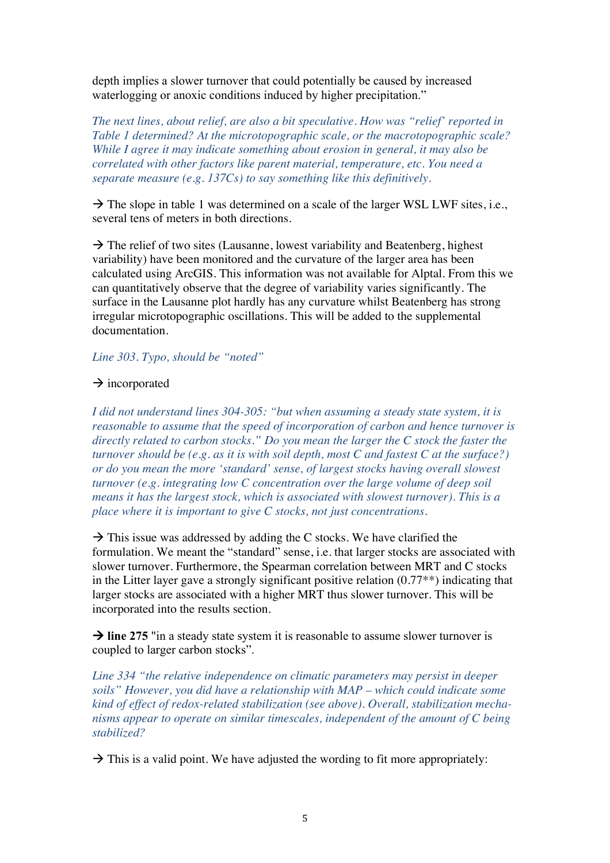depth implies a slower turnover that could potentially be caused by increased waterlogging or anoxic conditions induced by higher precipitation."

*The next lines, about relief, are also a bit speculative. How was "relief' reported in Table 1 determined? At the microtopographic scale, or the macrotopographic scale? While I agree it may indicate something about erosion in general, it may also be correlated with other factors like parent material, temperature, etc. You need a separate measure (e.g. 137Cs) to say something like this definitively.* 

 $\rightarrow$  The slope in table 1 was determined on a scale of the larger WSL LWF sites, i.e., several tens of meters in both directions.

 $\rightarrow$  The relief of two sites (Lausanne, lowest variability and Beatenberg, highest variability) have been monitored and the curvature of the larger area has been calculated using ArcGIS. This information was not available for Alptal. From this we can quantitatively observe that the degree of variability varies significantly. The surface in the Lausanne plot hardly has any curvature whilst Beatenberg has strong irregular microtopographic oscillations. This will be added to the supplemental documentation.

*Line 303. Typo, should be "noted"* 

### $\rightarrow$  incorporated

*I did not understand lines 304-305: "but when assuming a steady state system, it is reasonable to assume that the speed of incorporation of carbon and hence turnover is directly related to carbon stocks." Do you mean the larger the C stock the faster the turnover should be (e.g. as it is with soil depth, most C and fastest C at the surface?) or do you mean the more 'standard' sense, of largest stocks having overall slowest turnover (e.g. integrating low C concentration over the large volume of deep soil means it has the largest stock, which is associated with slowest turnover). This is a place where it is important to give C stocks, not just concentrations.* 

 $\rightarrow$  This issue was addressed by adding the C stocks. We have clarified the formulation. We meant the "standard" sense, i.e. that larger stocks are associated with slower turnover. Furthermore, the Spearman correlation between MRT and C stocks in the Litter layer gave a strongly significant positive relation (0.77\*\*) indicating that larger stocks are associated with a higher MRT thus slower turnover. This will be incorporated into the results section.

 $\rightarrow$  line 275 "in a steady state system it is reasonable to assume slower turnover is coupled to larger carbon stocks".

*Line 334 "the relative independence on climatic parameters may persist in deeper soils" However, you did have a relationship with MAP – which could indicate some kind of effect of redox-related stabilization (see above). Overall, stabilization mechanisms appear to operate on similar timescales, independent of the amount of C being stabilized?*

 $\rightarrow$  This is a valid point. We have adjusted the wording to fit more appropriately: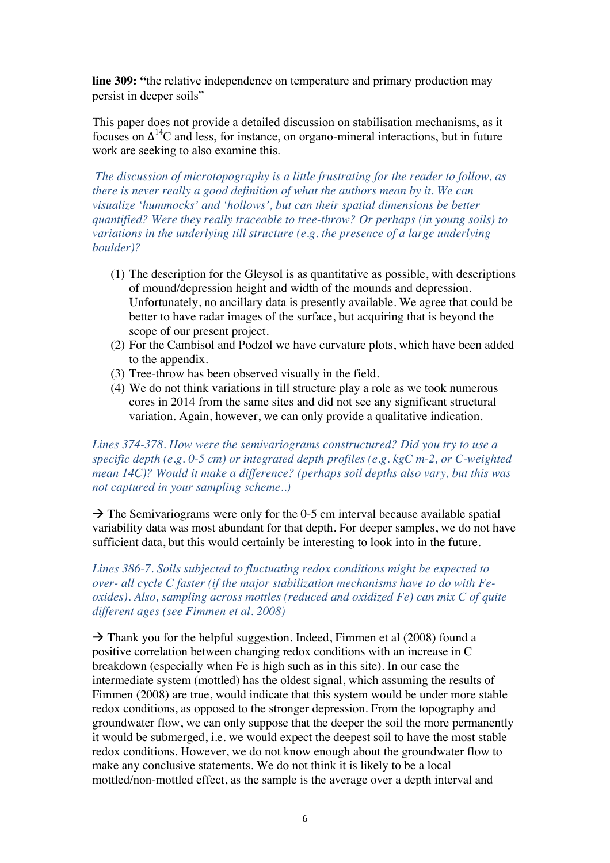**line 309: "**the relative independence on temperature and primary production may persist in deeper soils"

This paper does not provide a detailed discussion on stabilisation mechanisms, as it focuses on  $\Delta^{14}$ C and less, for instance, on organo-mineral interactions, but in future work are seeking to also examine this.

*The discussion of microtopography is a little frustrating for the reader to follow, as there is never really a good definition of what the authors mean by it. We can visualize 'hummocks' and 'hollows', but can their spatial dimensions be better quantified? Were they really traceable to tree-throw? Or perhaps (in young soils) to variations in the underlying till structure (e.g. the presence of a large underlying boulder)?* 

- (1) The description for the Gleysol is as quantitative as possible, with descriptions of mound/depression height and width of the mounds and depression. Unfortunately, no ancillary data is presently available. We agree that could be better to have radar images of the surface, but acquiring that is beyond the scope of our present project.
- (2) For the Cambisol and Podzol we have curvature plots, which have been added to the appendix.
- (3) Tree-throw has been observed visually in the field.
- (4) We do not think variations in till structure play a role as we took numerous cores in 2014 from the same sites and did not see any significant structural variation. Again, however, we can only provide a qualitative indication.

*Lines 374-378. How were the semivariograms constructured? Did you try to use a specific depth (e.g. 0-5 cm) or integrated depth profiles (e.g. kgC m-2, or C-weighted mean 14C)? Would it make a difference? (perhaps soil depths also vary, but this was not captured in your sampling scheme..)* 

 $\rightarrow$  The Semivariograms were only for the 0-5 cm interval because available spatial variability data was most abundant for that depth. For deeper samples, we do not have sufficient data, but this would certainly be interesting to look into in the future.

*Lines 386-7. Soils subjected to fluctuating redox conditions might be expected to over- all cycle C faster (if the major stabilization mechanisms have to do with Feoxides). Also, sampling across mottles (reduced and oxidized Fe) can mix C of quite different ages (see Fimmen et al. 2008)* 

 $\rightarrow$  Thank you for the helpful suggestion. Indeed, Fimmen et al (2008) found a positive correlation between changing redox conditions with an increase in C breakdown (especially when Fe is high such as in this site). In our case the intermediate system (mottled) has the oldest signal, which assuming the results of Fimmen (2008) are true, would indicate that this system would be under more stable redox conditions, as opposed to the stronger depression. From the topography and groundwater flow, we can only suppose that the deeper the soil the more permanently it would be submerged, i.e. we would expect the deepest soil to have the most stable redox conditions. However, we do not know enough about the groundwater flow to make any conclusive statements. We do not think it is likely to be a local mottled/non-mottled effect, as the sample is the average over a depth interval and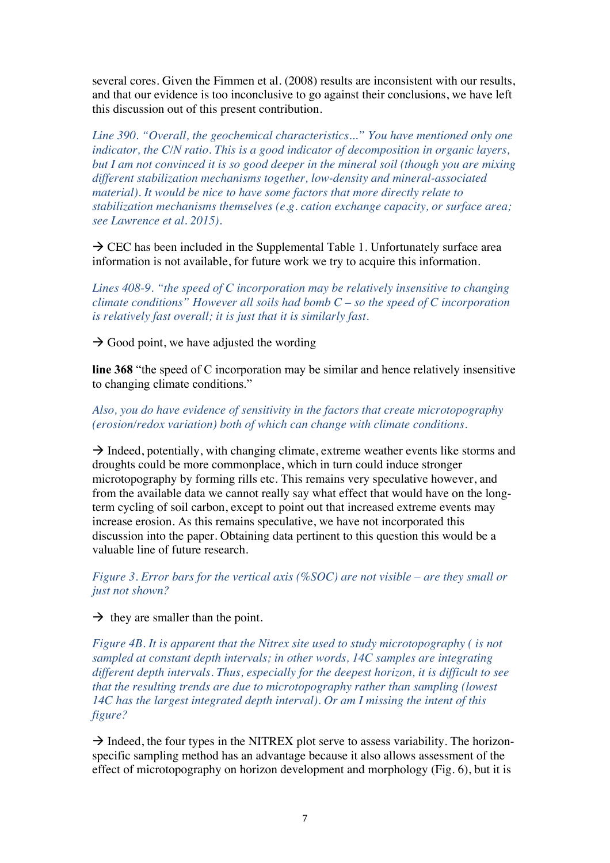several cores. Given the Fimmen et al. (2008) results are inconsistent with our results, and that our evidence is too inconclusive to go against their conclusions, we have left this discussion out of this present contribution.

*Line 390. "Overall, the geochemical characteristics..." You have mentioned only one indicator, the C/N ratio. This is a good indicator of decomposition in organic layers, but I am not convinced it is so good deeper in the mineral soil (though you are mixing different stabilization mechanisms together, low-density and mineral-associated material). It would be nice to have some factors that more directly relate to stabilization mechanisms themselves (e.g. cation exchange capacity, or surface area; see Lawrence et al. 2015).* 

 $\rightarrow$  CEC has been included in the Supplemental Table 1. Unfortunately surface area information is not available, for future work we try to acquire this information.

*Lines 408-9. "the speed of C incorporation may be relatively insensitive to changing climate conditions" However all soils had bomb C – so the speed of C incorporation is relatively fast overall; it is just that it is similarly fast.* 

 $\rightarrow$  Good point, we have adjusted the wording

**line 368** "the speed of C incorporation may be similar and hence relatively insensitive to changing climate conditions."

# *Also, you do have evidence of sensitivity in the factors that create microtopography (erosion/redox variation) both of which can change with climate conditions.*

 $\rightarrow$  Indeed, potentially, with changing climate, extreme weather events like storms and droughts could be more commonplace, which in turn could induce stronger microtopography by forming rills etc. This remains very speculative however, and from the available data we cannot really say what effect that would have on the longterm cycling of soil carbon, except to point out that increased extreme events may increase erosion. As this remains speculative, we have not incorporated this discussion into the paper. Obtaining data pertinent to this question this would be a valuable line of future research.

*Figure 3. Error bars for the vertical axis (%SOC) are not visible – are they small or just not shown?* 

 $\rightarrow$  they are smaller than the point.

*Figure 4B. It is apparent that the Nitrex site used to study microtopography ( is not sampled at constant depth intervals; in other words, 14C samples are integrating different depth intervals. Thus, especially for the deepest horizon, it is difficult to see that the resulting trends are due to microtopography rather than sampling (lowest 14C has the largest integrated depth interval). Or am I missing the intent of this figure?* 

 $\rightarrow$  Indeed, the four types in the NITREX plot serve to assess variability. The horizonspecific sampling method has an advantage because it also allows assessment of the effect of microtopography on horizon development and morphology (Fig. 6), but it is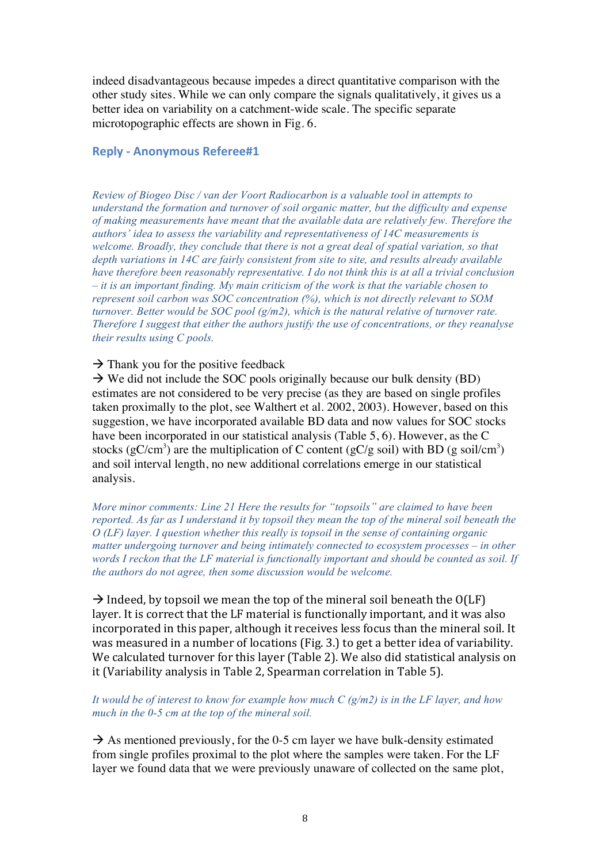indeed disadvantageous because impedes a direct quantitative comparison with the other study sites. While we can only compare the signals qualitatively, it gives us a better idea on variability on a catchment-wide scale. The specific separate microtopographic effects are shown in Fig. 6.

#### **Reply - Anonymous Referee#1**

*Review of Biogeo Disc / van der Voort Radiocarbon is a valuable tool in attempts to understand the formation and turnover of soil organic matter, but the difficulty and expense of making measurements have meant that the available data are relatively few. Therefore the authors' idea to assess the variability and representativeness of 14C measurements is welcome. Broadly, they conclude that there is not a great deal of spatial variation, so that depth variations in 14C are fairly consistent from site to site, and results already available have therefore been reasonably representative. I do not think this is at all a trivial conclusion – it is an important finding. My main criticism of the work is that the variable chosen to represent soil carbon was SOC concentration (%), which is not directly relevant to SOM turnover. Better would be SOC pool (g/m2), which is the natural relative of turnover rate. Therefore I suggest that either the authors justify the use of concentrations, or they reanalyse their results using C pools.* 

 $\rightarrow$  Thank you for the positive feedback

 $\rightarrow$  We did not include the SOC pools originally because our bulk density (BD) estimates are not considered to be very precise (as they are based on single profiles taken proximally to the plot, see Walthert et al. 2002, 2003). However, based on this suggestion, we have incorporated available BD data and now values for SOC stocks have been incorporated in our statistical analysis (Table 5, 6). However, as the C stocks (gC/cm<sup>3</sup>) are the multiplication of C content (gC/g soil) with BD (g soil/cm<sup>3</sup>) and soil interval length, no new additional correlations emerge in our statistical analysis.

*More minor comments: Line 21 Here the results for "topsoils" are claimed to have been reported. As far as I understand it by topsoil they mean the top of the mineral soil beneath the O (LF) layer. I question whether this really is topsoil in the sense of containing organic matter undergoing turnover and being intimately connected to ecosystem processes – in other words I reckon that the LF material is functionally important and should be counted as soil. If the authors do not agree, then some discussion would be welcome.* 

 $\rightarrow$  Indeed, by topsoil we mean the top of the mineral soil beneath the O(LF) layer. It is correct that the LF material is functionally important, and it was also incorporated in this paper, although it receives less focus than the mineral soil. It was measured in a number of locations (Fig. 3.) to get a better idea of variability. We calculated turnover for this layer (Table 2). We also did statistical analysis on it (Variability analysis in Table 2, Spearman correlation in Table 5).

#### *It would be of interest to know for example how much C (g/m2) is in the LF layer, and how much in the 0-5 cm at the top of the mineral soil.*

 $\rightarrow$  As mentioned previously, for the 0-5 cm layer we have bulk-density estimated from single profiles proximal to the plot where the samples were taken. For the LF layer we found data that we were previously unaware of collected on the same plot,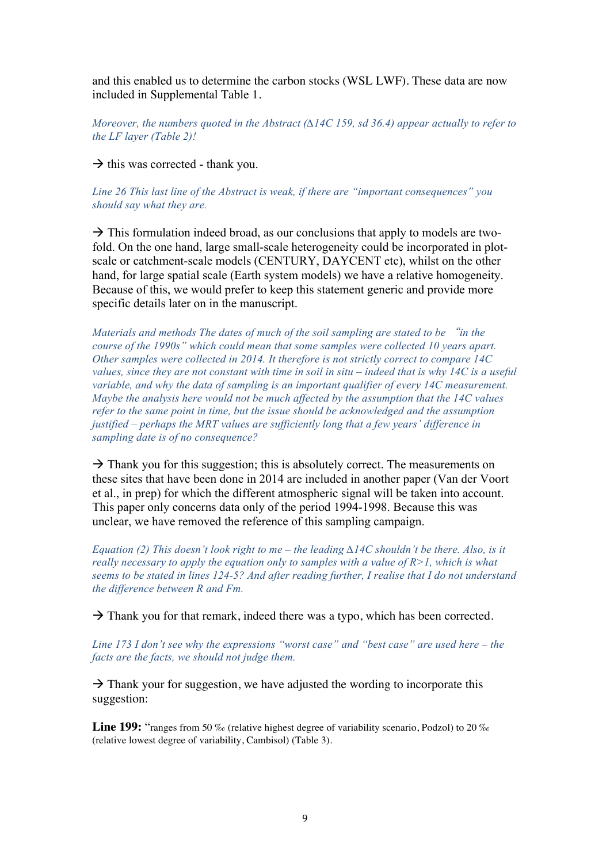and this enabled us to determine the carbon stocks (WSL LWF). These data are now included in Supplemental Table 1.

*Moreover, the numbers quoted in the Abstract (∆14C 159, sd 36.4) appear actually to refer to the LF layer (Table 2)!* 

 $\rightarrow$  this was corrected - thank you.

*Line 26 This last line of the Abstract is weak, if there are "important consequences" you should say what they are.* 

 $\rightarrow$  This formulation indeed broad, as our conclusions that apply to models are twofold. On the one hand, large small-scale heterogeneity could be incorporated in plotscale or catchment-scale models (CENTURY, DAYCENT etc), whilst on the other hand, for large spatial scale (Earth system models) we have a relative homogeneity. Because of this, we would prefer to keep this statement generic and provide more specific details later on in the manuscript.

*Materials and methods The dates of much of the soil sampling are stated to be* "*in the course of the 1990s" which could mean that some samples were collected 10 years apart. Other samples were collected in 2014. It therefore is not strictly correct to compare 14C values, since they are not constant with time in soil in situ – indeed that is why 14C is a useful variable, and why the data of sampling is an important qualifier of every 14C measurement. Maybe the analysis here would not be much affected by the assumption that the 14C values refer to the same point in time, but the issue should be acknowledged and the assumption justified – perhaps the MRT values are sufficiently long that a few years' difference in sampling date is of no consequence?* 

 $\rightarrow$  Thank you for this suggestion; this is absolutely correct. The measurements on these sites that have been done in 2014 are included in another paper (Van der Voort et al., in prep) for which the different atmospheric signal will be taken into account. This paper only concerns data only of the period 1994-1998. Because this was unclear, we have removed the reference of this sampling campaign.

*Equation (2) This doesn't look right to me – the leading ∆14C shouldn't be there. Also, is it really necessary to apply the equation only to samples with a value of R>1, which is what seems to be stated in lines 124-5? And after reading further, I realise that I do not understand the difference between R and Fm.* 

 $\rightarrow$  Thank you for that remark, indeed there was a typo, which has been corrected.

*Line 173 I don't see why the expressions "worst case" and "best case" are used here – the facts are the facts, we should not judge them.* 

 $\rightarrow$  Thank your for suggestion, we have adjusted the wording to incorporate this suggestion:

Line 199: "ranges from 50 ‰ (relative highest degree of variability scenario, Podzol) to 20 ‰ (relative lowest degree of variability, Cambisol) (Table 3).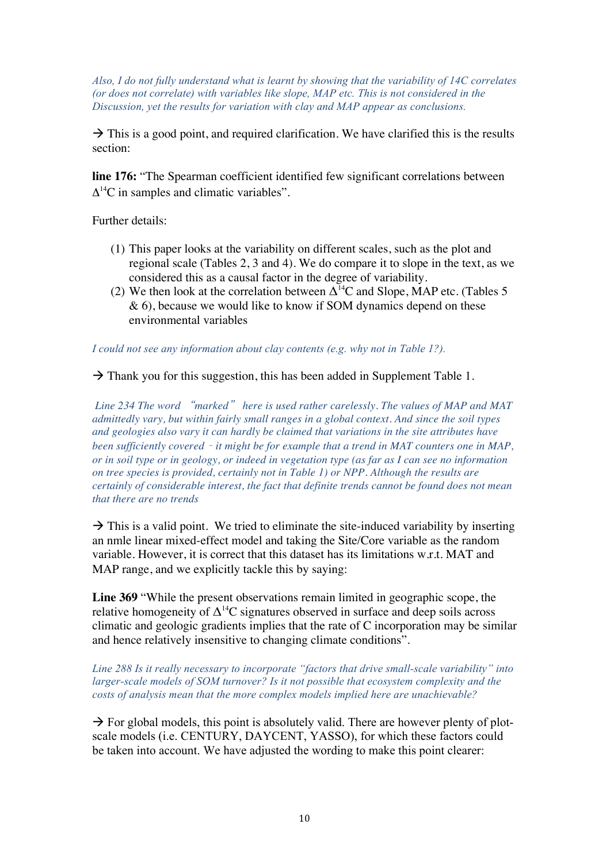*Also, I do not fully understand what is learnt by showing that the variability of 14C correlates (or does not correlate) with variables like slope, MAP etc. This is not considered in the Discussion, yet the results for variation with clay and MAP appear as conclusions.*

 $\rightarrow$  This is a good point, and required clarification. We have clarified this is the results section:

**line 176:** "The Spearman coefficient identified few significant correlations between  $\Delta^{14}$ C in samples and climatic variables".

Further details:

- (1) This paper looks at the variability on different scales, such as the plot and regional scale (Tables 2, 3 and 4). We do compare it to slope in the text, as we considered this as a causal factor in the degree of variability.
- (2) We then look at the correlation between  $\Delta^{14}$ C and Slope, MAP etc. (Tables 5 & 6), because we would like to know if SOM dynamics depend on these environmental variables

*I could not see any information about clay contents (e.g. why not in Table 1?).*

 $\rightarrow$  Thank you for this suggestion, this has been added in Supplement Table 1.

*Line 234 The word* "*marked*" *here is used rather carelessly. The values of MAP and MAT admittedly vary, but within fairly small ranges in a global context. And since the soil types and geologies also vary it can hardly be claimed that variations in the site attributes have been sufficiently covered* – *it might be for example that a trend in MAT counters one in MAP, or in soil type or in geology, or indeed in vegetation type (as far as I can see no information on tree species is provided, certainly not in Table 1) or NPP. Although the results are certainly of considerable interest, the fact that definite trends cannot be found does not mean that there are no trends* 

 $\rightarrow$  This is a valid point. We tried to eliminate the site-induced variability by inserting an nmle linear mixed-effect model and taking the Site/Core variable as the random variable. However, it is correct that this dataset has its limitations w.r.t. MAT and MAP range, and we explicitly tackle this by saying:

**Line 369** "While the present observations remain limited in geographic scope, the relative homogeneity of  $\Delta^{14}$ C signatures observed in surface and deep soils across climatic and geologic gradients implies that the rate of C incorporation may be similar and hence relatively insensitive to changing climate conditions".

*Line 288 Is it really necessary to incorporate "factors that drive small-scale variability" into larger-scale models of SOM turnover? Is it not possible that ecosystem complexity and the costs of analysis mean that the more complex models implied here are unachievable?* 

 $\rightarrow$  For global models, this point is absolutely valid. There are however plenty of plotscale models (i.e. CENTURY, DAYCENT, YASSO), for which these factors could be taken into account. We have adjusted the wording to make this point clearer: